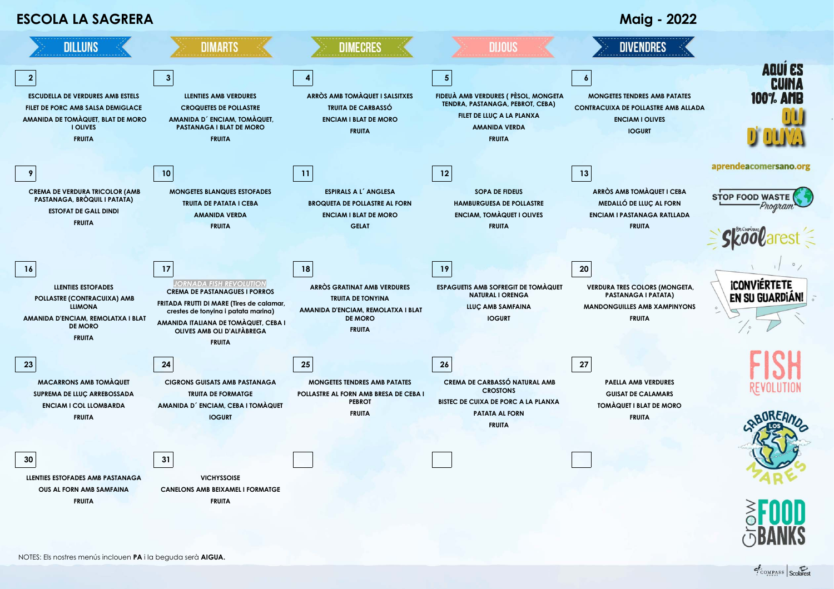